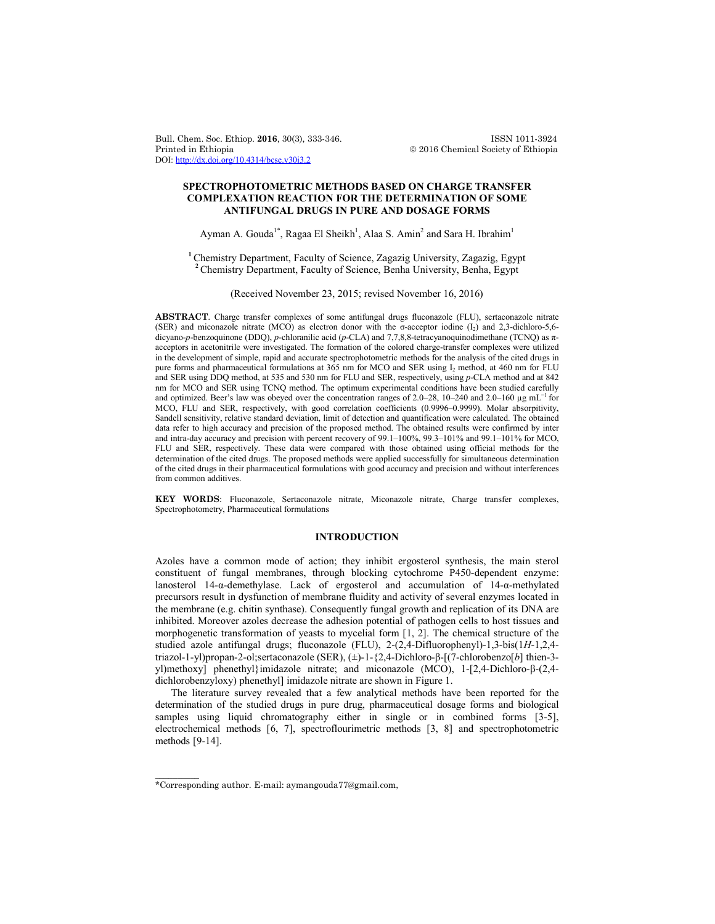Bull. Chem. Soc. Ethiop. **2016**, 30(3), 333-346. ISSN 1011-3924 DOI: http://dx.doi.org/10.4314/bcse.v30i3.2

 $© 2016$  Chemical Society of Ethiopia

# **SPECTROPHOTOMETRIC METHODS BASED ON CHARGE TRANSFER COMPLEXATION REACTION FOR THE DETERMINATION OF SOME ANTIFUNGAL DRUGS IN PURE AND DOSAGE FORMS**

# Ayman A. Gouda<sup>1\*</sup>, Ragaa El Sheikh<sup>1</sup>, Alaa S. Amin<sup>2</sup> and Sara H. Ibrahim<sup>1</sup>

**<sup>1</sup>**Chemistry Department, Faculty of Science, Zagazig University, Zagazig, Egypt **<sup>2</sup>**Chemistry Department, Faculty of Science, Benha University, Benha, Egypt

(Received November 23, 2015; revised November 16, 2016)

**ABSTRACT**. Charge transfer complexes of some antifungal drugs fluconazole (FLU), sertaconazole nitrate (SER) and miconazole nitrate (MCO) as electron donor with the σ-acceptor iodine  $(I_2)$  and 2,3-dichloro-5,6dicyano-*p*-benzoquinone (DDQ), *p*-chloranilic acid (*p*-CLA) and 7,7,8,8-tetracyanoquinodimethane (TCNQ) as πacceptors in acetonitrile were investigated. The formation of the colored charge-transfer complexes were utilized in the development of simple, rapid and accurate spectrophotometric methods for the analysis of the cited drugs in pure forms and pharmaceutical formulations at 365 nm for MCO and SER using I2 method, at 460 nm for FLU and SER using DDQ method, at 535 and 530 nm for FLU and SER, respectively, using *p*-CLA method and at 842 nm for MCO and SER using TCNQ method. The optimum experimental conditions have been studied carefully and optimized. Beer's law was obeyed over the concentration ranges of 2.0–28, 10–240 and 2.0–160 µg mL<sup>-1</sup> for MCO, FLU and SER, respectively, with good correlation coefficients (0.9996–0.9999). Molar absorpitivity, Sandell sensitivity, relative standard deviation, limit of detection and quantification were calculated. The obtained data refer to high accuracy and precision of the proposed method. The obtained results were confirmed by inter and intra-day accuracy and precision with percent recovery of 99.1–100%, 99.3–101% and 99.1–101% for MCO, FLU and SER, respectively. These data were compared with those obtained using official methods for the determination of the cited drugs. The proposed methods were applied successfully for simultaneous determination of the cited drugs in their pharmaceutical formulations with good accuracy and precision and without interferences from common additives.

**KEY WORDS**: Fluconazole, Sertaconazole nitrate, Miconazole nitrate, Charge transfer complexes, Spectrophotometry, Pharmaceutical formulations

# **INTRODUCTION**

Azoles have a common mode of action; they inhibit ergosterol synthesis, the main sterol constituent of fungal membranes, through blocking cytochrome P450-dependent enzyme: lanosterol 14-α-demethylase. Lack of ergosterol and accumulation of 14-α-methylated precursors result in dysfunction of membrane fluidity and activity of several enzymes located in the membrane (e.g. chitin synthase). Consequently fungal growth and replication of its DNA are inhibited. Moreover azoles decrease the adhesion potential of pathogen cells to host tissues and morphogenetic transformation of yeasts to mycelial form [1, 2]. The chemical structure of the studied azole antifungal drugs; fluconazole (FLU), 2-(2,4-Difluorophenyl)-1,3-bis(1*H*-1,2,4 triazol-1-yl)propan-2-ol;sertaconazole (SER), (±)-1-{2,4-Dichloro-β-[(7-chlorobenzo[*b*] thien-3 yl)methoxy] phenethyl}imidazole nitrate; and miconazole (MCO), 1-[2,4-Dichloro-β-(2,4 dichlorobenzyloxy) phenethyl] imidazole nitrate are shown in Figure 1.

The literature survey revealed that a few analytical methods have been reported for the determination of the studied drugs in pure drug, pharmaceutical dosage forms and biological samples using liquid chromatography either in single or in combined forms [3-5], electrochemical methods [6, 7], spectroflourimetric methods [3, 8] and spectrophotometric methods [9-14].

 $\overline{\phantom{a}}$ 

<sup>\*</sup>Corresponding author. E-mail: aymangouda77@gmail.com,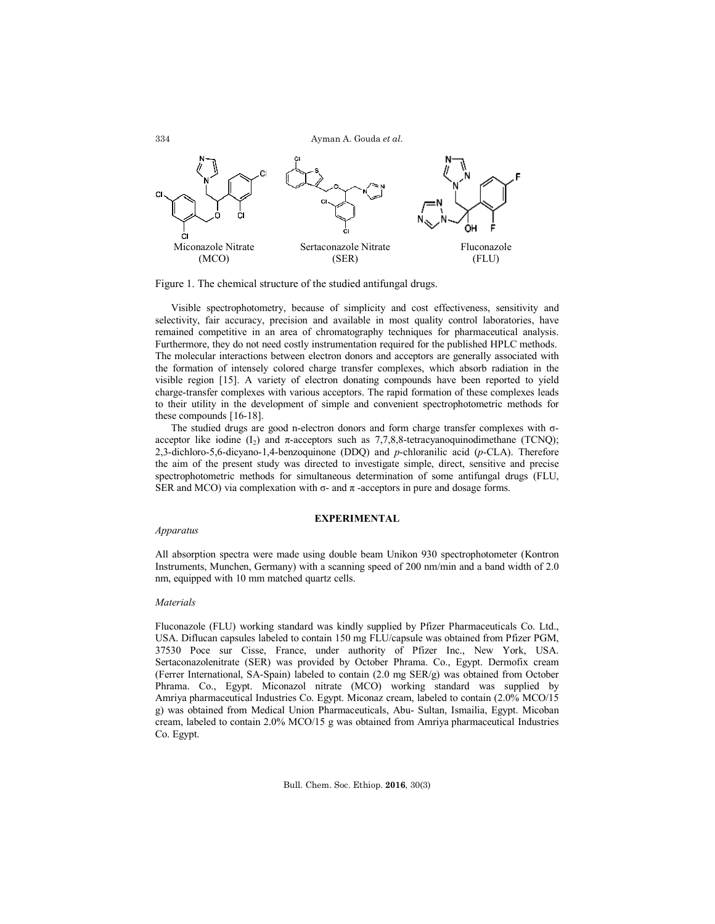

Figure 1. The chemical structure of the studied antifungal drugs.

Visible spectrophotometry, because of simplicity and cost effectiveness, sensitivity and selectivity, fair accuracy, precision and available in most quality control laboratories, have remained competitive in an area of chromatography techniques for pharmaceutical analysis. Furthermore, they do not need costly instrumentation required for the published HPLC methods. The molecular interactions between electron donors and acceptors are generally associated with the formation of intensely colored charge transfer complexes, which absorb radiation in the visible region [15]. A variety of electron donating compounds have been reported to yield charge-transfer complexes with various acceptors. The rapid formation of these complexes leads to their utility in the development of simple and convenient spectrophotometric methods for these compounds [16-18].

The studied drugs are good n-electron donors and form charge transfer complexes with σacceptor like iodine  $(I_2)$  and  $\pi$ -acceptors such as 7,7,8,8-tetracyanoquinodimethane (TCNQ); 2,3-dichloro-5,6-dicyano-1,4-benzoquinone (DDQ) and *p*-chloranilic acid (*p*-CLA). Therefore the aim of the present study was directed to investigate simple, direct, sensitive and precise spectrophotometric methods for simultaneous determination of some antifungal drugs (FLU, SER and MCO) via complexation with σ- and π -acceptors in pure and dosage forms.

# **EXPERIMENTAL**

## *Apparatus*

All absorption spectra were made using double beam Unikon 930 spectrophotometer (Kontron Instruments, Munchen, Germany) with a scanning speed of 200 nm/min and a band width of 2.0 nm, equipped with 10 mm matched quartz cells.

### *Materials*

Fluconazole (FLU) working standard was kindly supplied by Pfizer Pharmaceuticals Co. Ltd., USA. Diflucan capsules labeled to contain 150 mg FLU/capsule was obtained from Pfizer PGM, 37530 Poce sur Cisse, France, under authority of Pfizer Inc., New York, USA. Sertaconazolenitrate (SER) was provided by October Phrama. Co., Egypt. Dermofix cream (Ferrer International, SA-Spain) labeled to contain (2.0 mg SER/g) was obtained from October Phrama. Co., Egypt. Miconazol nitrate (MCO) working standard was supplied by Amriya pharmaceutical Industries Co. Egypt. Miconaz cream, labeled to contain (2.0% MCO/15 g) was obtained from Medical Union Pharmaceuticals, Abu- Sultan, Ismailia, Egypt. Micoban cream, labeled to contain 2.0% MCO/15 g was obtained from Amriya pharmaceutical Industries Co. Egypt.

Bull. Chem. Soc. Ethiop. **2016**, 30(3)

334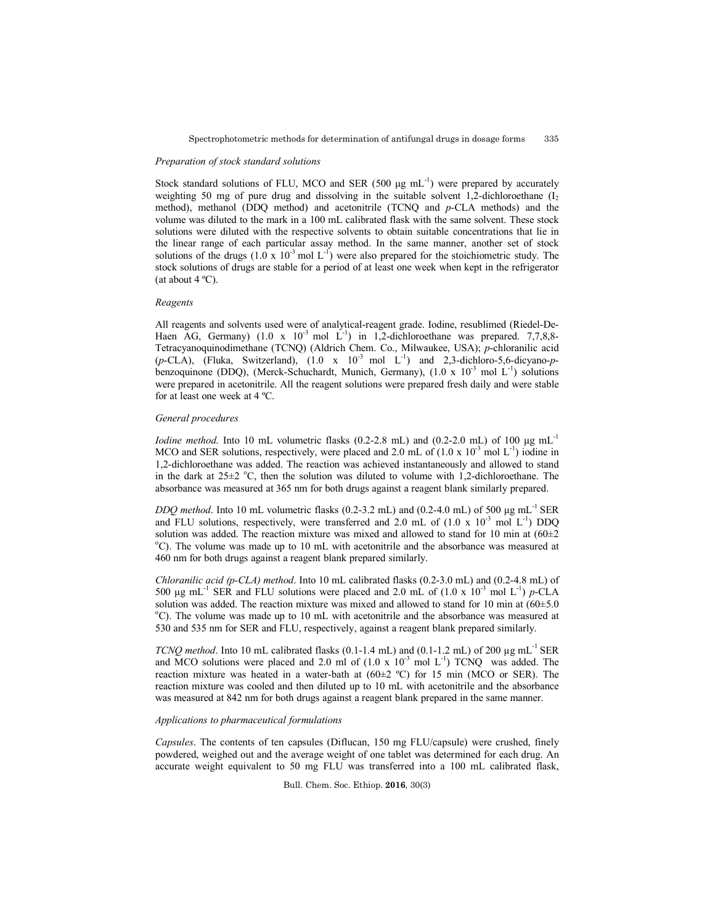### *Preparation of stock standard solutions*

Stock standard solutions of FLU, MCO and SER (500  $\mu$ g mL<sup>-1</sup>) were prepared by accurately weighting 50 mg of pure drug and dissolving in the suitable solvent 1,2-dichloroethane  $(I_2)$ method), methanol (DDQ method) and acetonitrile (TCNQ and *p*-CLA methods) and the volume was diluted to the mark in a 100 mL calibrated flask with the same solvent. These stock solutions were diluted with the respective solvents to obtain suitable concentrations that lie in the linear range of each particular assay method. In the same manner, another set of stock solutions of the drugs  $(1.0 \times 10^{-3} \text{ mol L}^{-1})$  were also prepared for the stoichiometric study. The stock solutions of drugs are stable for a period of at least one week when kept in the refrigerator (at about  $4^{\circ}$ C).

# *Reagents*

All reagents and solvents used were of analytical-reagent grade. Iodine, resublimed (Riedel-De-Haen AG, Germany)  $(1.0 \times 10^{-3} \text{ mol L}^{-1})$  in 1,2-dichloroethane was prepared. 7,7,8,8-Tetracyanoquinodimethane (TCNQ) (Aldrich Chem. Co., Milwaukee, USA); *p*-chloranilic acid  $(p-\text{CLA})$ , (Fluka, Switzerland),  $(1.0 \text{ x } 10^{-3} \text{ mol } L^{-1})$  and 2,3-dichloro-5,6-dicyano-pbenzoquinone (DDQ), (Merck-Schuchardt, Munich, Germany),  $(1.0 \times 10^{-3} \text{ mol L}^{-1})$  solutions were prepared in acetonitrile. All the reagent solutions were prepared fresh daily and were stable for at least one week at 4 ºC.

### *General procedures*

*Iodine method*. Into 10 mL volumetric flasks (0.2-2.8 mL) and (0.2-2.0 mL) of 100  $\mu$ g mL<sup>-1</sup> MCO and SER solutions, respectively, were placed and 2.0 mL of  $(1.0 \times 10^{-3} \text{ mol L}^{-1})$  iodine in 1,2-dichloroethane was added. The reaction was achieved instantaneously and allowed to stand in the dark at  $25\pm2$  °C, then the solution was diluted to volume with 1,2-dichloroethane. The absorbance was measured at 365 nm for both drugs against a reagent blank similarly prepared.

*DDQ method.* Into 10 mL volumetric flasks (0.2-3.2 mL) and (0.2-4.0 mL) of 500  $\mu$ g mL<sup>-1</sup> SER and FLU solutions, respectively, were transferred and 2.0 mL of  $(1.0 \times 10^{-3} \text{ mol L}^{-1})$  DDQ solution was added. The reaction mixture was mixed and allowed to stand for 10 min at  $(60\pm2)$ C). The volume was made up to 10 mL with acetonitrile and the absorbance was measured at 460 nm for both drugs against a reagent blank prepared similarly.

*Chloranilic acid (p-CLA) method*. Into 10 mL calibrated flasks (0.2-3.0 mL) and (0.2-4.8 mL) of 500  $\mu$ g mL<sup>-1</sup> SER and FLU solutions were placed and 2.0 mL of (1.0 x 10<sup>-3</sup> mol L<sup>-1</sup>) *p*-CLA solution was added. The reaction mixture was mixed and allowed to stand for 10 min at  $(60\pm5.0$ <sup>o</sup>C). The volume was made up to 10 mL with acetonitrile and the absorbance was measured at 530 and 535 nm for SER and FLU, respectively, against a reagent blank prepared similarly.

*TCNQ method*. Into 10 mL calibrated flasks  $(0.1-1.4 \text{ mL})$  and  $(0.1-1.2 \text{ mL})$  of 200 µg mL<sup>-1</sup> SER and MCO solutions were placed and 2.0 ml of  $(1.0 \times 10^{-3} \text{ mol L}^{-1})$  TCNQ was added. The reaction mixture was heated in a water-bath at  $(60\pm2~^{\circ}\mathrm{C})$  for 15 min (MCO or SER). The reaction mixture was cooled and then diluted up to 10 mL with acetonitrile and the absorbance was measured at 842 nm for both drugs against a reagent blank prepared in the same manner.

## *Applications to pharmaceutical formulations*

*Capsules*. The contents of ten capsules (Diflucan, 150 mg FLU/capsule) were crushed, finely powdered, weighed out and the average weight of one tablet was determined for each drug. An accurate weight equivalent to 50 mg FLU was transferred into a 100 mL calibrated flask,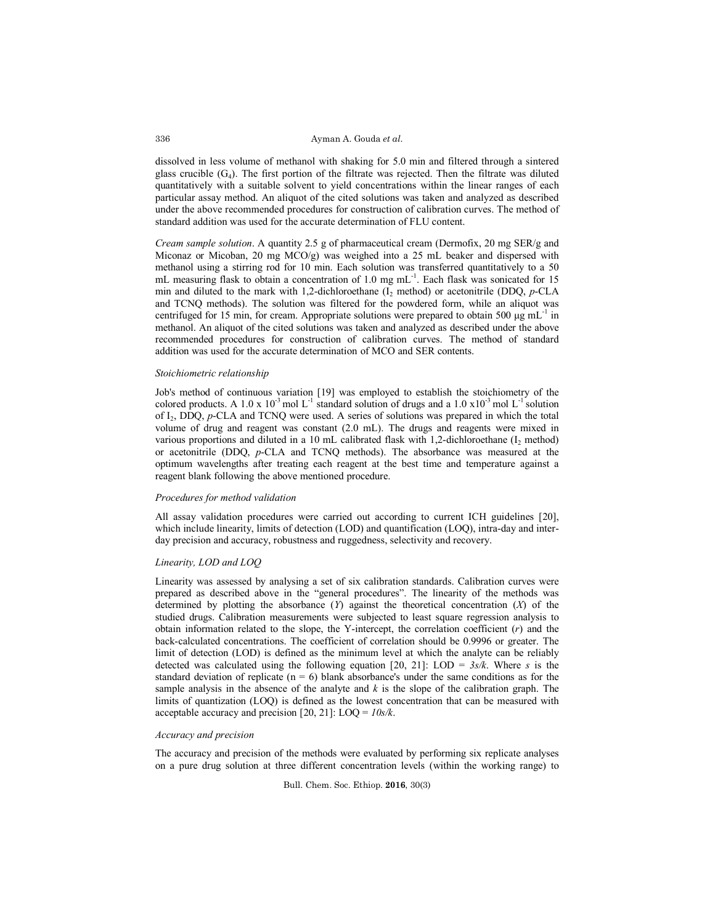dissolved in less volume of methanol with shaking for 5.0 min and filtered through a sintered glass crucible  $(G_4)$ . The first portion of the filtrate was rejected. Then the filtrate was diluted quantitatively with a suitable solvent to yield concentrations within the linear ranges of each particular assay method. An aliquot of the cited solutions was taken and analyzed as described under the above recommended procedures for construction of calibration curves. The method of standard addition was used for the accurate determination of FLU content.

*Cream sample solution*. A quantity 2.5 g of pharmaceutical cream (Dermofix, 20 mg SER/g and Miconaz or Micoban, 20 mg MCO/g) was weighed into a 25 mL beaker and dispersed with methanol using a stirring rod for 10 min. Each solution was transferred quantitatively to a 50 mL measuring flask to obtain a concentration of 1.0 mg mL<sup>-1</sup>. Each flask was sonicated for 15 min and diluted to the mark with 1,2-dichloroethane  $(I_2 \text{ method})$  or acetonitrile (DDQ, *p*-CLA and TCNQ methods). The solution was filtered for the powdered form, while an aliquot was centrifuged for 15 min, for cream. Appropriate solutions were prepared to obtain 500  $\mu$ g mL<sup>-1</sup> in methanol. An aliquot of the cited solutions was taken and analyzed as described under the above recommended procedures for construction of calibration curves. The method of standard addition was used for the accurate determination of MCO and SER contents.

#### *Stoichiometric relationship*

Job's method of continuous variation [19] was employed to establish the stoichiometry of the colored products. A 1.0 x  $10^{-3}$  mol L<sup>-1</sup> standard solution of drugs and a 1.0 x10<sup>-3</sup> mol L<sup>-1</sup> solution of I2, DDQ, *p*-CLA and TCNQ were used. A series of solutions was prepared in which the total volume of drug and reagent was constant (2.0 mL). The drugs and reagents were mixed in various proportions and diluted in a 10 mL calibrated flask with 1,2-dichloroethane  $(I_2 \text{ method})$ or acetonitrile (DDQ, *p*-CLA and TCNQ methods). The absorbance was measured at the optimum wavelengths after treating each reagent at the best time and temperature against a reagent blank following the above mentioned procedure.

## *Procedures for method validation*

All assay validation procedures were carried out according to current ICH guidelines [20], which include linearity, limits of detection (LOD) and quantification (LOQ), intra-day and interday precision and accuracy, robustness and ruggedness, selectivity and recovery.

# *Linearity, LOD and LOQ*

Linearity was assessed by analysing a set of six calibration standards. Calibration curves were prepared as described above in the "general procedures". The linearity of the methods was determined by plotting the absorbance (*Y*) against the theoretical concentration (*X*) of the studied drugs. Calibration measurements were subjected to least square regression analysis to obtain information related to the slope, the Y-intercept, the correlation coefficient (*r*) and the back-calculated concentrations. The coefficient of correlation should be 0.9996 or greater. The limit of detection (LOD) is defined as the minimum level at which the analyte can be reliably detected was calculated using the following equation  $[20, 21]$ : LOD =  $3s/k$ . Where *s* is the standard deviation of replicate  $(n = 6)$  blank absorbance's under the same conditions as for the sample analysis in the absence of the analyte and *k* is the slope of the calibration graph. The limits of quantization (LOQ) is defined as the lowest concentration that can be measured with acceptable accuracy and precision [20, 21]: LOQ = *10s/k*.

#### *Accuracy and precision*

The accuracy and precision of the methods were evaluated by performing six replicate analyses on a pure drug solution at three different concentration levels (within the working range) to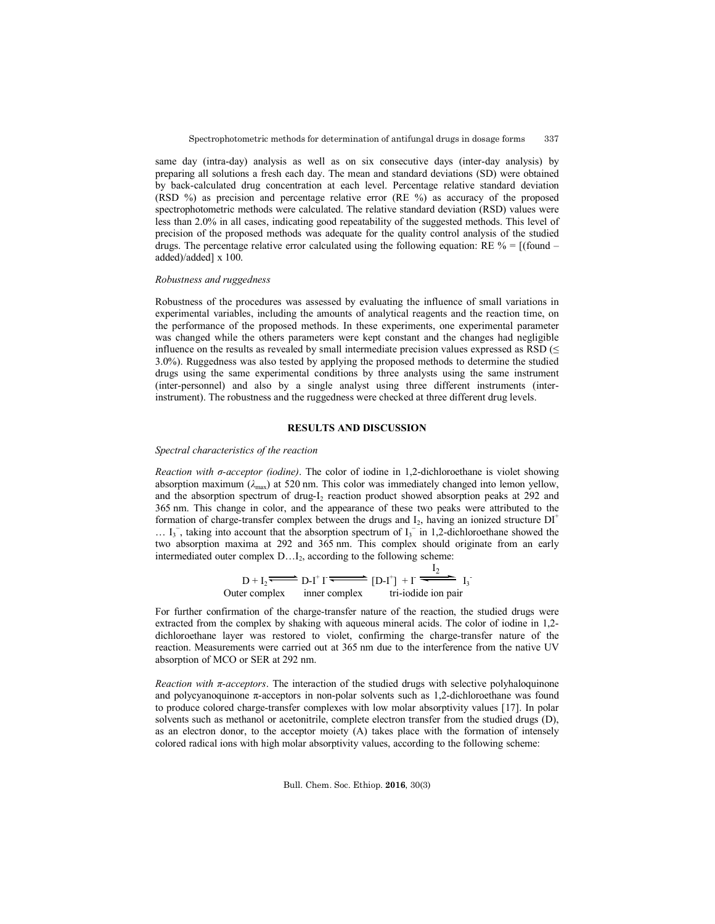same day (intra-day) analysis as well as on six consecutive days (inter-day analysis) by preparing all solutions a fresh each day. The mean and standard deviations (SD) were obtained by back-calculated drug concentration at each level. Percentage relative standard deviation (RSD %) as precision and percentage relative error (RE %) as accuracy of the proposed spectrophotometric methods were calculated. The relative standard deviation (RSD) values were less than 2.0% in all cases, indicating good repeatability of the suggested methods. This level of precision of the proposed methods was adequate for the quality control analysis of the studied drugs. The percentage relative error calculated using the following equation:  $RE \% = [(found$ added)/added] x 100.

#### *Robustness and ruggedness*

Robustness of the procedures was assessed by evaluating the influence of small variations in experimental variables, including the amounts of analytical reagents and the reaction time, on the performance of the proposed methods. In these experiments, one experimental parameter was changed while the others parameters were kept constant and the changes had negligible influence on the results as revealed by small intermediate precision values expressed as RSD ( $\leq$ 3.0%). Ruggedness was also tested by applying the proposed methods to determine the studied drugs using the same experimental conditions by three analysts using the same instrument (inter-personnel) and also by a single analyst using three different instruments (interinstrument). The robustness and the ruggedness were checked at three different drug levels.

### **RESULTS AND DISCUSSION**

### *Spectral characteristics of the reaction*

*Reaction with σ-acceptor (iodine)*. The color of iodine in 1,2-dichloroethane is violet showing absorption maximum  $(\lambda_{\text{max}})$  at 520 nm. This color was immediately changed into lemon vellow. and the absorption spectrum of drug-I<sub>2</sub> reaction product showed absorption peaks at 292 and 365 nm. This change in color, and the appearance of these two peaks were attributed to the formation of charge-transfer complex between the drugs and  $I_2$ , having an ionized structure  $DI^+$  $\ldots$  I<sub>3</sub><sup>-</sup>, taking into account that the absorption spectrum of I<sub>3</sub><sup>-</sup> in 1,2-dichloroethane showed the two absorption maxima at 292 and 365 nm. This complex should originate from an early intermediated outer complex D...I<sub>2</sub>, according to the following scheme:

$$
D+I_2 \xrightarrow{\qquad} D-I^{\dagger} I \xrightarrow{\qquad} [D-I^{\dagger}] + I \xrightarrow{I_2} I_3
$$
  
Outer complex inner complex tri-iodide ion pair

For further confirmation of the charge-transfer nature of the reaction, the studied drugs were extracted from the complex by shaking with aqueous mineral acids. The color of iodine in 1,2 dichloroethane layer was restored to violet, confirming the charge-transfer nature of the reaction. Measurements were carried out at 365 nm due to the interference from the native UV absorption of MCO or SER at 292 nm.

*Reaction with π-acceptors*. The interaction of the studied drugs with selective polyhaloquinone and polycyanoquinone  $\pi$ -acceptors in non-polar solvents such as 1,2-dichloroethane was found to produce colored charge-transfer complexes with low molar absorptivity values [17]. In polar solvents such as methanol or acetonitrile, complete electron transfer from the studied drugs (D), as an electron donor, to the acceptor moiety (A) takes place with the formation of intensely colored radical ions with high molar absorptivity values, according to the following scheme: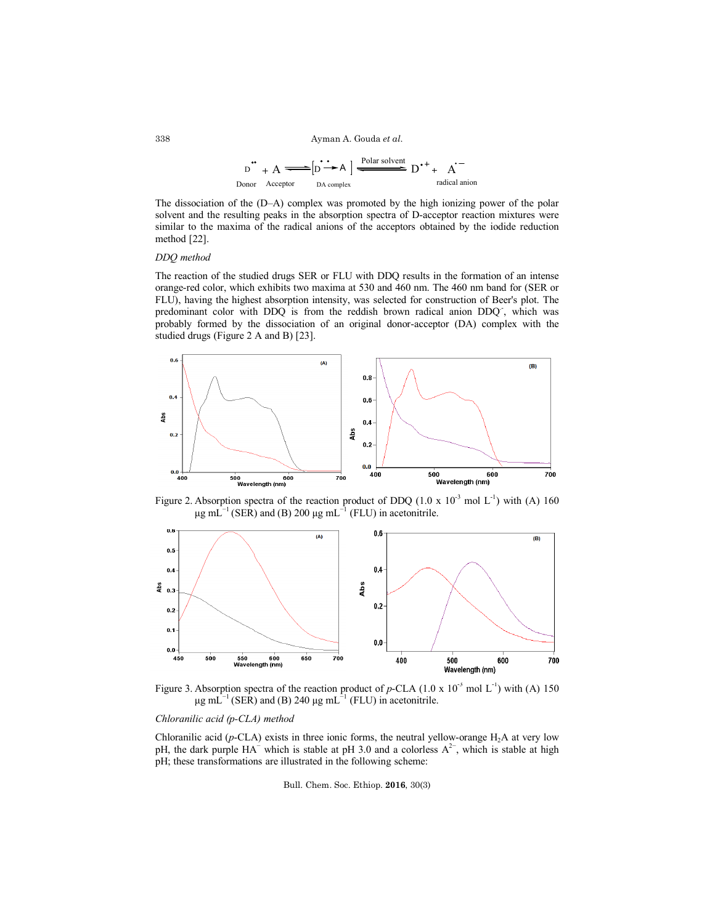$$
D^{\bullet} + A \longrightarrow [D^{\bullet} \rightarrow A] \longrightarrow [D^{\bullet} \rightarrow A] \longrightarrow [D^{\bullet} \rightarrow A^{\bullet}]
$$
  
Donor Acceptor 
$$
D^{\bullet} \rightarrow A^{\bullet}
$$
 radical anion

The dissociation of the (D–A) complex was promoted by the high ionizing power of the polar solvent and the resulting peaks in the absorption spectra of D-acceptor reaction mixtures were similar to the maxima of the radical anions of the acceptors obtained by the iodide reduction method [22].

# *DDQ method*

The reaction of the studied drugs SER or FLU with DDQ results in the formation of an intense orange-red color, which exhibits two maxima at 530 and 460 nm. The 460 nm band for (SER or FLU), having the highest absorption intensity, was selected for construction of Beer's plot. The predominant color with DDQ is from the reddish brown radical anion DDQ, which was probably formed by the dissociation of an original donor-acceptor (DA) complex with the studied drugs (Figure 2 A and B) [23].



Figure 2. Absorption spectra of the reaction product of DDQ  $(1.0 \times 10^{-3} \text{ mol L}^{-1})$  with (A) 160 μg mL<sup> $^{-1}$ </sup> (SER) and (B) 200 μg mL<sup> $^{-1}$ </sup> (FLU) in acetonitrile.



Figure 3. Absorption spectra of the reaction product of  $p$ -CLA (1.0 x 10<sup>-3</sup> mol L<sup>-1</sup>) with (A) 150 μg mL $^{-1}$  (SER) and (B) 240 μg mL $^{-1}$  (FLU) in acetonitrile.

# *Chloranilic acid (p-CLA) method*

Chloranilic acid ( $p$ -CLA) exists in three ionic forms, the neutral yellow-orange  $H_2A$  at very low pH, the dark purple  $HA^-$  which is stable at pH 3.0 and a colorless  $A^{2-}$ , which is stable at high pH; these transformations are illustrated in the following scheme:

Bull. Chem. Soc. Ethiop. **2016**, 30(3)

338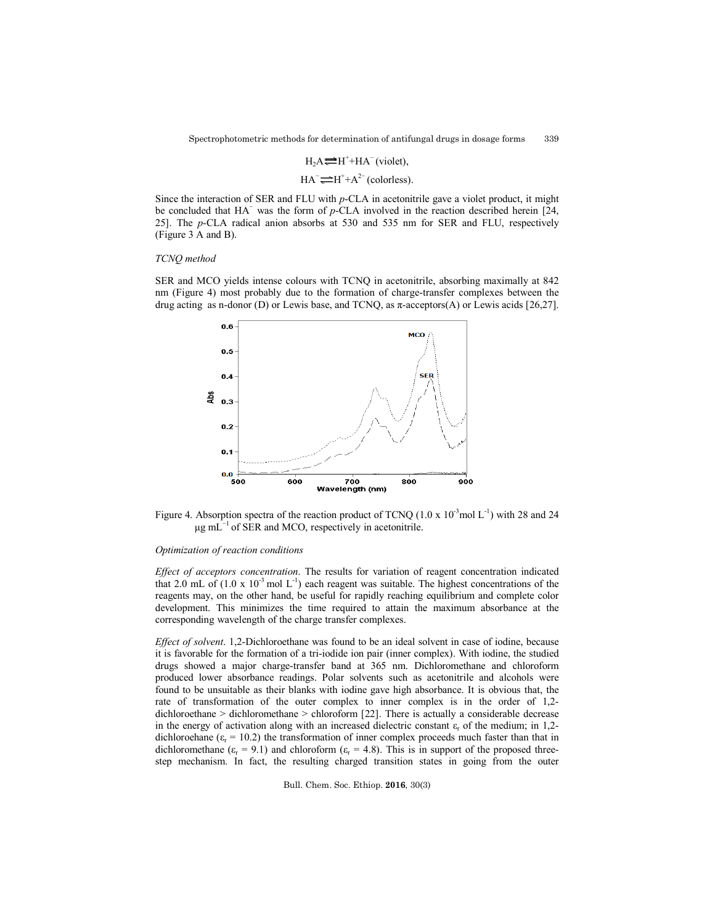# $H_2A = H^+ + HA^-$  (violet),

$$
HA^- \overline{\longrightarrow} H^+ + A^{2-}
$$
 (colorless).

Since the interaction of SER and FLU with *p*-CLA in acetonitrile gave a violet product, it might be concluded that HA− was the form of *p*-CLA involved in the reaction described herein [24, 25]. The *p*-CLA radical anion absorbs at 530 and 535 nm for SER and FLU, respectively (Figure 3 A and B).

## *TCNQ method*

SER and MCO yields intense colours with TCNQ in acetonitrile, absorbing maximally at 842 nm (Figure 4) most probably due to the formation of charge-transfer complexes between the drug acting as n-donor (D) or Lewis base, and TCNQ, as  $\pi$ -acceptors(A) or Lewis acids [26,27].



Figure 4. Absorption spectra of the reaction product of TCNQ  $(1.0 \times 10^{-3} \text{mol L}^{-1})$  with 28 and 24  $μg mL<sup>-1</sup>$  of SER and MCO, respectively in acetonitrile.

### *Optimization of reaction conditions*

*Effect of acceptors concentration*. The results for variation of reagent concentration indicated that 2.0 mL of  $(1.0 \times 10^{-3} \text{ mol L}^{-1})$  each reagent was suitable. The highest concentrations of the reagents may, on the other hand, be useful for rapidly reaching equilibrium and complete color development. This minimizes the time required to attain the maximum absorbance at the corresponding wavelength of the charge transfer complexes.

*Effect of solvent*. 1,2-Dichloroethane was found to be an ideal solvent in case of iodine, because it is favorable for the formation of a tri-iodide ion pair (inner complex). With iodine, the studied drugs showed a major charge-transfer band at 365 nm. Dichloromethane and chloroform produced lower absorbance readings. Polar solvents such as acetonitrile and alcohols were found to be unsuitable as their blanks with iodine gave high absorbance. It is obvious that, the rate of transformation of the outer complex to inner complex is in the order of 1,2 dichloroethane > dichloromethane > chloroform [22]. There is actually a considerable decrease in the energy of activation along with an increased dielectric constant  $\varepsilon_r$  of the medium; in 1,2dichloroehane ( $\varepsilon_r$  = 10.2) the transformation of inner complex proceeds much faster than that in dichloromethane ( $\varepsilon_r$  = 9.1) and chloroform ( $\varepsilon_r$  = 4.8). This is in support of the proposed threestep mechanism. In fact, the resulting charged transition states in going from the outer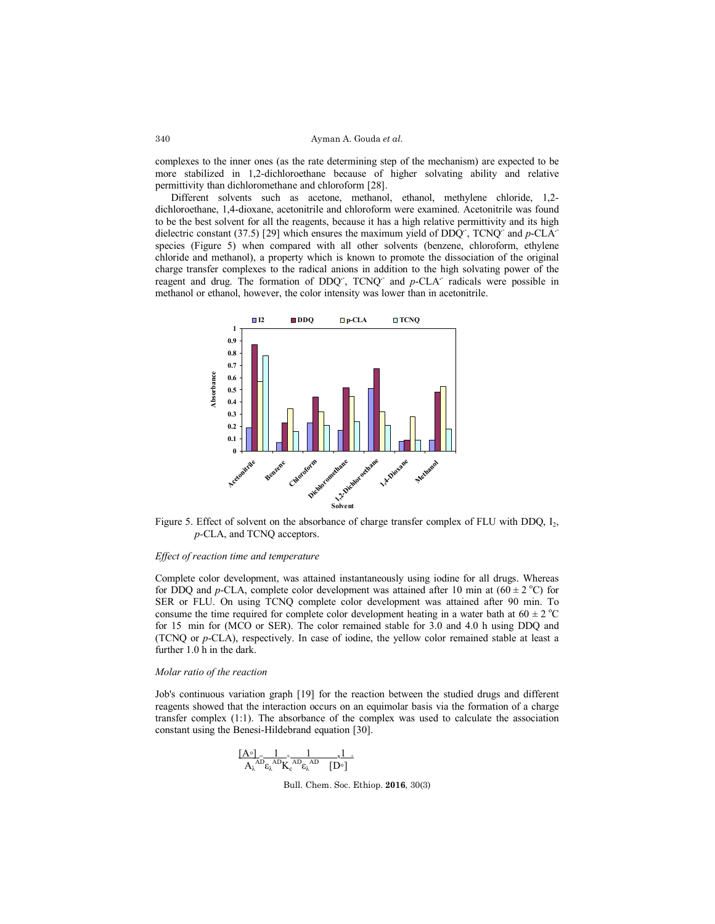complexes to the inner ones (as the rate determining step of the mechanism) are expected to be more stabilized in 1,2-dichloroethane because of higher solvating ability and relative permittivity than dichloromethane and chloroform [28].

Different solvents such as acetone, methanol, ethanol, methylene chloride, 1,2 dichloroethane, 1,4-dioxane, acetonitrile and chloroform were examined. Acetonitrile was found to be the best solvent for all the reagents, because it has a high relative permittivity and its high dielectric constant (37.5) [29] which ensures the maximum yield of DDQ**.**- , TCNQ**.**- and *p*-CLA**.** species (Figure 5) when compared with all other solvents (benzene, chloroform, ethylene chloride and methanol), a property which is known to promote the dissociation of the original charge transfer complexes to the radical anions in addition to the high solvating power of the reagent and drug. The formation of DDQ<sup>-</sup>, TCNQ<sup>-</sup> and *p*-CLA<sup>-</sup> radicals were possible in methanol or ethanol, however, the color intensity was lower than in acetonitrile.



Figure 5. Effect of solvent on the absorbance of charge transfer complex of FLU with DDQ,  $I_2$ , *p-*CLA, and TCNQ acceptors.

## *Effect of reaction time and temperature*

Complete color development, was attained instantaneously using iodine for all drugs. Whereas for DDQ and *p*-CLA, complete color development was attained after 10 min at  $(60 \pm 2 \degree C)$  for SER or FLU. On using TCNQ complete color development was attained after 90 min. To consume the time required for complete color development heating in a water bath at  $60 \pm 2$  °C for 15 min for (MCO or SER). The color remained stable for 3.0 and 4.0 h using DDQ and (TCNQ or *p*-CLA), respectively. In case of iodine, the yellow color remained stable at least a further 1.0 h in the dark.

## *Molar ratio of the reaction*

Job's continuous variation graph [19] for the reaction between the studied drugs and different reagents showed that the interaction occurs on an equimolar basis via the formation of a charge transfer complex (1:1). The absorbance of the complex was used to calculate the association constant using the Benesi-Hildebrand equation [30].

$$
\frac{[A^\circ]}{A_\lambda} \hspace{-1mm} = \hspace{-1mm} \frac{1}{\hspace{-1mm} \mathcal{B}_\lambda} \hspace{-1mm} + \hspace{-1mm} \frac{1}{\hspace{-1mm} \mathcal{B}_\lambda} \hspace{-1mm} + \hspace{-1mm} \frac{1}{\hspace{-1mm} \mathcal{B}_\lambda} \hspace{-1mm} - \hspace{-1mm} \frac{1}{\hspace{-1mm} \mathcal{B}_\lambda} \hspace{-1mm} - \hspace{-1mm} \frac{1}{\hspace{-1mm} \mathcal{B}_\lambda} \hspace{-1mm} - \hspace{-1mm} - \hspace{-1mm} - \hspace{-1mm} - \hspace{-1mm} - \hspace{-1mm} - \hspace{-1mm} - \hspace{-1mm} - \hspace{-1mm} - \hspace{-1mm} - \hspace{-1mm} - \hspace{-1mm} - \hspace{-1mm} - \hspace{-1mm} - \hspace{-1mm} - \hspace{-1mm} - \hspace{-1mm} - \hspace{-1mm} - \hspace{-1mm} - \hspace{-1mm} - \hspace{-1mm} - \hspace{-1mm} - \hspace{-1mm} - \hspace{-1mm} - \hspace{-1mm} - \hspace{-1mm} - \hspace{-1mm} - \hspace{-1mm} - \hspace{-1mm} - \hspace{-1mm} - \hspace{-1mm} - \hspace{-1mm} - \hspace{-1mm} - \hspace{-1mm} - \hspace{-1mm} - \hspace{-1mm} - \hspace{-1mm} - \hspace{-1mm} - \hspace{-1mm} - \hspace{-1mm} - \hspace{-1mm} - \hspace{-1mm} - \hspace{-1mm} - \hspace{-1mm} - \hspace{-1mm} - \hspace{-1mm} - \hspace{-1mm} - \hspace{-1mm} - \hspace{-1mm} - \hspace{-1mm} - \hspace{-1mm} - \hspace{-1mm} - \hspace{-1mm} - \hspace{-1mm} - \hspace{-1mm} - \hspace{-1mm} - \hspace{-1mm} - \hspace{-1mm} - \hspace{-1mm} - \hspace{-1mm} - \hspace{-1mm} - \hspace{-1mm} - \hspace{-1mm} - \hspace{-1mm} - \hspace{-1mm} - \hspace{-1mm} - \hspace{-1mm} - \hspace{-1mm} - \hspace{-1mm} - \hspace{-1mm} - \hspace{-1mm}
$$

Bull. Chem. Soc. Ethiop. **2016**, 30(3)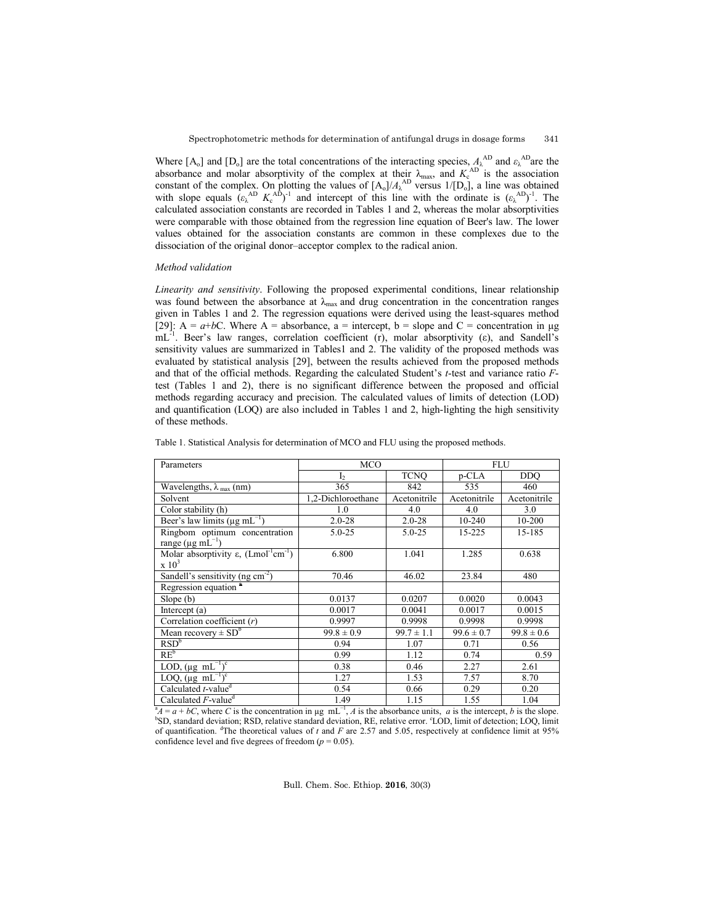Where  $[A_0]$  and  $[D_0]$  are the total concentrations of the interacting species,  $A_\lambda^{AD}$  and  $\varepsilon_\lambda^{AD}$  are the absorbance and molar absorptivity of the complex at their  $\lambda_{\text{max}}$ , and  $K_c^{\text{AD}}$  is the association constant of the complex. On plotting the values of  $[A_0]/A_\lambda^{AD}$  versus  $1/[D_0]$ , a line was obtained with slope equals  $(\epsilon_{\lambda}^{AD} K_{c}^{AD})^{-1}$  and intercept of this line with the ordinate is  $(\epsilon_{\lambda}^{AD})^{-1}$ . The calculated association constants are recorded in Tables 1 and 2, whereas the molar absorptivities were comparable with those obtained from the regression line equation of Beer's law. The lower values obtained for the association constants are common in these complexes due to the dissociation of the original donor–acceptor complex to the radical anion.

## *Method validation*

*Linearity and sensitivity*. Following the proposed experimental conditions, linear relationship was found between the absorbance at  $\lambda_{\text{max}}$  and drug concentration in the concentration ranges given in Tables 1 and 2. The regression equations were derived using the least-squares method [29]:  $A = a + bC$ . Where  $A =$  absorbance,  $a =$  intercept,  $b =$  slope and  $C =$  concentration in  $\mu$ g  $mL^{-1}$ . Beer's law ranges, correlation coefficient (r), molar absorptivity (ε), and Sandell's sensitivity values are summarized in Tables1 and 2. The validity of the proposed methods was evaluated by statistical analysis [29], between the results achieved from the proposed methods and that of the official methods. Regarding the calculated Student's *t*-test and variance ratio *F*test (Tables 1 and 2), there is no significant difference between the proposed and official methods regarding accuracy and precision. The calculated values of limits of detection (LOD) and quantification (LOQ) are also included in Tables 1 and 2, high-lighting the high sensitivity of these methods.

| Parameters                                                                | <b>MCO</b>         |                | <b>FLU</b>     |                |  |
|---------------------------------------------------------------------------|--------------------|----------------|----------------|----------------|--|
|                                                                           | $\mathbf{I}$       | <b>TCNO</b>    | p-CLA          | DDO.           |  |
| Wavelengths, $\lambda_{\text{max}}$ (nm)                                  | 365                | 842            | 535            | 460            |  |
| Solvent                                                                   | 1,2-Dichloroethane | Acetonitrile   | Acetonitrile   | Acetonitrile   |  |
| Color stability (h)                                                       | 1.0                | 4.0            | 4.0            | 3.0            |  |
| Beer's law limits ( $\mu$ g mL <sup>-1</sup> )                            | $2.0 - 28$         | $2.0 - 28$     | 10-240         | 10-200         |  |
| Ringbom optimum concentration                                             | $5.0 - 25$         | $5.0 - 25$     | 15-225         | 15-185         |  |
| range ( $\mu$ g mL <sup>-1</sup> )                                        |                    |                |                |                |  |
| Molar absorptivity $\varepsilon$ , (Lmol <sup>-1</sup> cm <sup>-1</sup> ) | 6.800              | 1.041          | 1.285          | 0.638          |  |
| $\times 10^3$                                                             |                    |                |                |                |  |
| Sandell's sensitivity (ng $cm^{-2}$ )                                     | 70.46              | 46.02          | 23.84          | 480            |  |
| Regression equation <sup>a</sup>                                          |                    |                |                |                |  |
| Slope $(b)$                                                               | 0.0137             | 0.0207         | 0.0020         | 0.0043         |  |
| Intercept $(a)$                                                           | 0.0017             | 0.0041         | 0.0017         | 0.0015         |  |
| Correlation coefficient $(r)$                                             | 0.9997             | 0.9998         | 0.9998         | 0.9998         |  |
| Mean recovery $\pm$ SD <sup>b</sup>                                       | $99.8 \pm 0.9$     | $99.7 \pm 1.1$ | $99.6 \pm 0.7$ | $99.8 \pm 0.6$ |  |
| RSD <sup>b</sup>                                                          | 0.94               | 1.07           | 0.71           | 0.56           |  |
| $RE^b$                                                                    | 0.99               | 1.12           | 0.74           | 0.59           |  |
| LOD, $(\mu g \text{ mL}^{-1})^c$                                          | 0.38               | 0.46           | 2.27           | 2.61           |  |
| LOQ, $(\mu g \overline{mL^{-1}})^c$                                       | 1.27               | 1.53           | 7.57           | 8.70           |  |
| Calculated t-value <sup>d</sup>                                           | 0.54               | 0.66           | 0.29           | 0.20           |  |
| Calculated $\overline{F}$ -value <sup>d</sup>                             | 1.49               | 1.15           | 1.55           | 1.04           |  |

Table 1. Statistical Analysis for determination of MCO and FLU using the proposed methods.

 $A = a + bC$ , where *C* is the concentration in µg mL<sup>-1</sup>, *A* is the absorbance units, *a* is the intercept, *b* is the slope. SD, standard deviation; RSD, relative standard deviation, RE, relative error. 'LOD, limit of detection; LOQ, limit of quantification. <sup>d</sup>The theoretical values of  $t$  and  $F$  are 2.57 and 5.05, respectively at confidence limit at 95% confidence level and five degrees of freedom  $(p = 0.05)$ .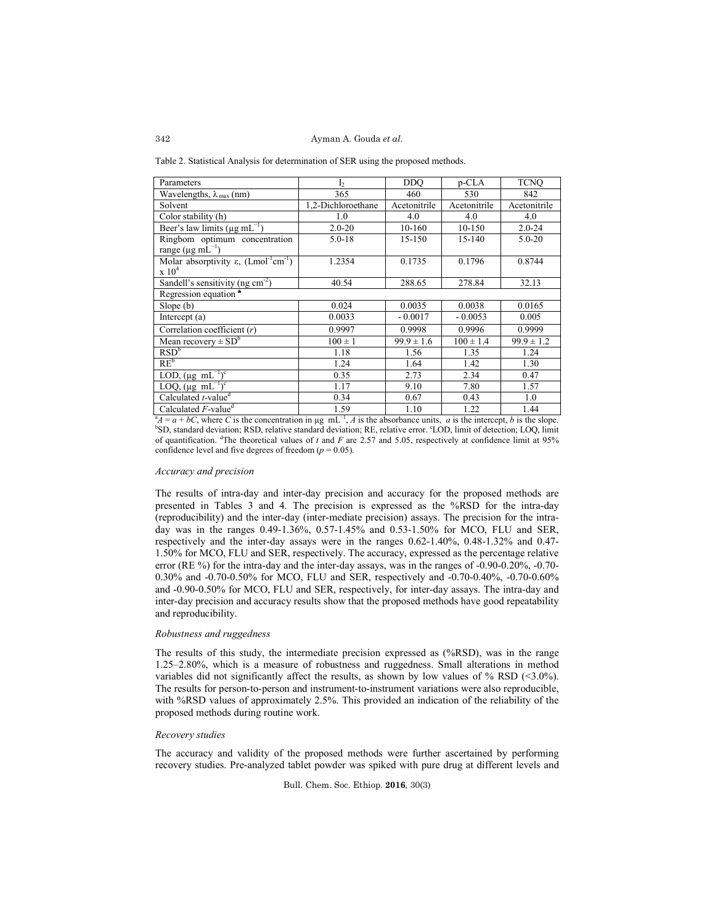Table 2. Statistical Analysis for determination of SER using the proposed methods.

| Parameters                                                                | I <sub>2</sub>     | <b>DDO</b>     | p-CLA         | <b>TCNO</b>    |
|---------------------------------------------------------------------------|--------------------|----------------|---------------|----------------|
| Wavelengths, $\lambda_{\text{max}}$ (nm)                                  | 365                | 460            | 530           | 842            |
| Solvent                                                                   | 1,2-Dichloroethane | Acetonitrile   | Acetonitrile  | Acetonitrile   |
| Color stability (h)                                                       | 1.0                | 4.0            | 4.0           | 4.0            |
| Beer's law limits ( $\mu$ g mL <sup>-1</sup> )                            | $2.0 - 20$         | $10-160$       | 10-150        | $2.0 - 24$     |
| Ringbom optimum concentration                                             | $5.0 - 18$         | 15-150         | 15-140        | $5.0 - 20$     |
| range ( $\mu$ g mL <sup>-1</sup> )                                        |                    |                |               |                |
| Molar absorptivity $\varepsilon$ , (Lmol <sup>-1</sup> cm <sup>-1</sup> ) | 1.2354             | 0.1735         | 0.1796        | 0.8744         |
| $\rm x~10^4$                                                              |                    |                |               |                |
| Sandell's sensitivity (ng $cm-2$ )                                        | 40.54              | 288.65         | 278.84        | 32.13          |
| Regression equation <sup>®</sup>                                          |                    |                |               |                |
| Slope(b)                                                                  | 0.024              | 0.0035         | 0.0038        | 0.0165         |
| Intercept $(a)$                                                           | 0.0033             | $-0.0017$      | $-0.0053$     | 0.005          |
| Correlation coefficient $(r)$                                             | 0.9997             | 0.9998         | 0.9996        | 0.9999         |
| Mean recovery $\pm$ SD <sup>b</sup>                                       | $100 \pm 1$        | $99.9 \pm 1.6$ | $100 \pm 1.4$ | $99.9 \pm 1.2$ |
| RSD <sup>b</sup>                                                          | 1.18               | 1.56           | 1.35          | 1.24           |
| $RE^b$                                                                    | 1.24               | 1.64           | 1.42          | 1.30           |
| LOD, $(\mu g \text{ mL}^{-1})^c$                                          | 0.35               | 2.73           | 2.34          | 0.47           |
| LOQ, $(\mu g \text{ mL}^{-1})^c$                                          | 1.17               | 9.10           | 7.80          | 1.57           |
| Calculated $t$ -value <sup>d</sup>                                        | 0.34               | 0.67           | 0.43          | 1.0            |
| Calculated $F$ -value <sup>d</sup>                                        | 1.59               | 1.10           | 1.22          | 1.44           |

 $A = a + bC$ , where *C* is the concentration in µg mL<sup>-1</sup>, *A* is the absorbance units, *a* is the intercept, *b* is the slope. SD, standard deviation; RSD, relative standard deviation; RE, relative error. 'LOD, limit of detection; LOQ, limit of quantification. <sup>d</sup>The theoretical values of  $t$  and  $F$  are 2.57 and 5.05, respectively at confidence limit at 95% confidence level and five degrees of freedom  $(p = 0.05)$ .

### *Accuracy and precision*

The results of intra-day and inter-day precision and accuracy for the proposed methods are presented in Tables 3 and 4. The precision is expressed as the %RSD for the intra-day (reproducibility) and the inter-day (inter-mediate precision) assays. The precision for the intraday was in the ranges 0.49-1.36%, 0.57-1.45% and 0.53-1.50% for MCO, FLU and SER, respectively and the inter-day assays were in the ranges 0.62-1.40%, 0.48-1.32% and 0.47- 1.50% for MCO, FLU and SER, respectively. The accuracy, expressed as the percentage relative error (RE %) for the intra-day and the inter-day assays, was in the ranges of -0.90-0.20%, -0.70- 0.30% and -0.70-0.50% for MCO, FLU and SER, respectively and -0.70-0.40%, -0.70-0.60% and -0.90-0.50% for MCO, FLU and SER, respectively, for inter-day assays. The intra-day and inter-day precision and accuracy results show that the proposed methods have good repeatability and reproducibility.

# *Robustness and ruggedness*

The results of this study, the intermediate precision expressed as (%RSD), was in the range 1.25–2.80%, which is a measure of robustness and ruggedness. Small alterations in method variables did not significantly affect the results, as shown by low values of  $%$  RSD (<3.0%). The results for person-to-person and instrument-to-instrument variations were also reproducible, with %RSD values of approximately 2.5%. This provided an indication of the reliability of the proposed methods during routine work.

## *Recovery studies*

The accuracy and validity of the proposed methods were further ascertained by performing recovery studies. Pre-analyzed tablet powder was spiked with pure drug at different levels and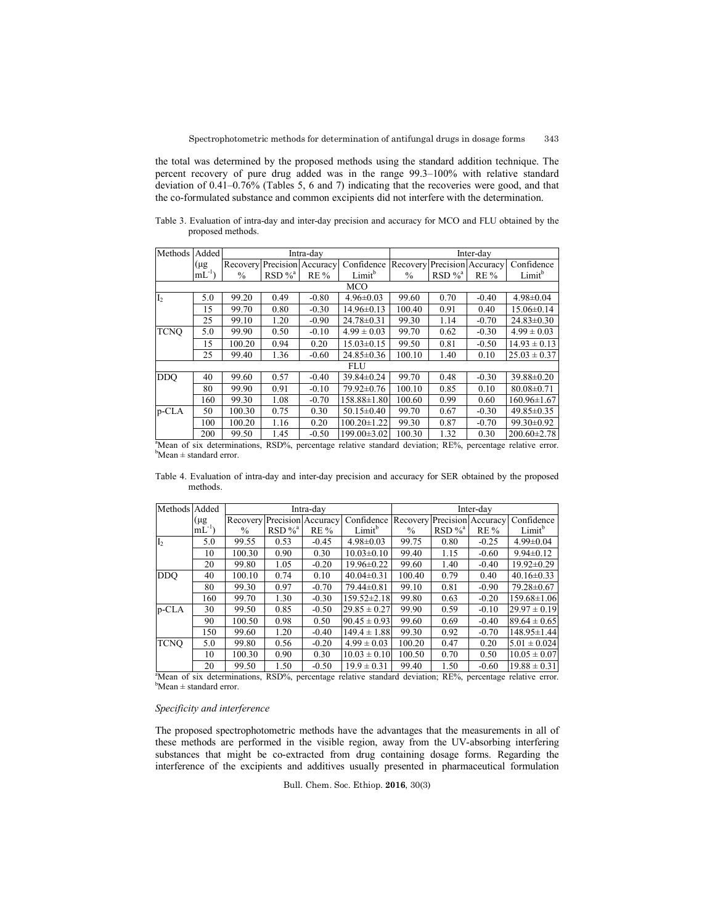the total was determined by the proposed methods using the standard addition technique. The percent recovery of pure drug added was in the range 99.3–100% with relative standard deviation of 0.41–0.76% (Tables 5, 6 and 7) indicating that the recoveries were good, and that the co-formulated substance and common excipients did not interfere with the determination.

Table 3. Evaluation of intra-day and inter-day precision and accuracy for MCO and FLU obtained by the proposed methods.

| Methods                       | Added       |                                                     |                       | Intra-day                   |                                                                                                                                  | Inter-day |                                     |                    |                                                                     |  |  |
|-------------------------------|-------------|-----------------------------------------------------|-----------------------|-----------------------------|----------------------------------------------------------------------------------------------------------------------------------|-----------|-------------------------------------|--------------------|---------------------------------------------------------------------|--|--|
|                               | (µg         |                                                     |                       | Recovery Precision Accuracy | Confidence                                                                                                                       | Recovery  |                                     | Precision Accuracy | Confidence                                                          |  |  |
|                               | $mL^{-1}$ ) | $\frac{0}{0}$                                       | $RSD \%$ <sup>a</sup> | $RE\%$                      | Limit <sup>b</sup>                                                                                                               | $\%$      | $RSD \%$ <sup>a</sup>               | $RE\%$             | Limit <sup>b</sup>                                                  |  |  |
| <b>MCO</b>                    |             |                                                     |                       |                             |                                                                                                                                  |           |                                     |                    |                                                                     |  |  |
| I <sub>2</sub>                | 5.0         | 99.20                                               | 0.49                  | $-0.80$                     | $4.96 \pm 0.03$                                                                                                                  | 99.60     | 0.70                                | $-0.40$            | $4.98 \pm 0.04$                                                     |  |  |
|                               | 15          | 99.70                                               | 0.80                  | $-0.30$                     | $14.96 \pm 0.13$                                                                                                                 | 100.40    | 0.91                                | 0.40               | $15.06 \pm 0.14$                                                    |  |  |
|                               | 25          | 99.10                                               | 1.20                  | $-0.90$                     | $24.78 \pm 0.31$                                                                                                                 | 99.30     | 1.14                                | $-0.70$            | $24.83 \pm 0.30$                                                    |  |  |
| <b>TCNO</b>                   | 5.0         | 99.90                                               | 0.50                  | $-0.10$                     | $4.99 \pm 0.03$                                                                                                                  | 99.70     | 0.62                                | $-0.30$            | $4.99 \pm 0.03$                                                     |  |  |
|                               | 15          | 100.20                                              | 0.94                  | 0.20                        | $15.03 \pm 0.15$                                                                                                                 | 99.50     | 0.81                                | $-0.50$            | $14.93 \pm 0.13$                                                    |  |  |
|                               | 25          | 99.40                                               | 1.36                  | $-0.60$                     | $24.85 \pm 0.36$                                                                                                                 | 100.10    | 1.40                                | 0.10               | $25.03 \pm 0.37$                                                    |  |  |
|                               |             |                                                     |                       |                             | <b>FLU</b>                                                                                                                       |           |                                     |                    |                                                                     |  |  |
| <b>DDO</b>                    | 40          | 99.60                                               | 0.57                  | $-0.40$                     | 39.84±0.24                                                                                                                       | 99.70     | 0.48                                | $-0.30$            | 39.88±0.20                                                          |  |  |
|                               | 80          | 99.90                                               | 0.91                  | $-0.10$                     | $79.92 \pm 0.76$                                                                                                                 | 100.10    | 0.85                                | 0.10               | $80.08 \pm 0.71$                                                    |  |  |
|                               | 160         | 99.30                                               | 1.08                  | $-0.70$                     | 158.88±1.80                                                                                                                      | 100.60    | 0.99                                | 0.60               | $160.96 \pm 1.67$                                                   |  |  |
| p-CLA                         | 50          | 100.30                                              | 0.75                  | 0.30                        | $50.15 \pm 0.40$                                                                                                                 | 99.70     | 0.67                                | $-0.30$            | $49.85 \pm 0.35$                                                    |  |  |
|                               | 100         | 100.20                                              | 1.16                  | 0.20                        | $100.20 \pm 1.22$                                                                                                                | 99.30     | 0.87                                | $-0.70$            | $99.30 \pm 0.92$                                                    |  |  |
| $\mathbf{a} \cdot \mathbf{b}$ | 200         | 99.50<br>$\mathbf{1}$ , $\mathbf{1}$ , $\mathbf{1}$ | 1.45<br>DCD0          | $-0.50$                     | $199.00 \pm 3.02$<br>$\mathbf{1}$ , and $\mathbf{1}$ , and $\mathbf{1}$ , and $\mathbf{1}$ , and $\mathbf{1}$ , and $\mathbf{1}$ | 100.30    | 1.32<br>D <sub>D</sub> <sub>O</sub> | 0.30               | $200.60 \pm 2.78$<br>$\mathbf{1}$ and $\mathbf{1}$ and $\mathbf{1}$ |  |  |

<sup>a</sup>Mean of six determinations, RSD%, percentage relative standard deviation; RE%, percentage relative error.  $b$ Mean  $\pm$  standard error.

Table 4. Evaluation of intra-day and inter-day precision and accuracy for SER obtained by the proposed methods.

| Methods Added  |           |               |                       | Intra-dav          |                    | Inter-day     |                       |                    |                    |  |  |
|----------------|-----------|---------------|-----------------------|--------------------|--------------------|---------------|-----------------------|--------------------|--------------------|--|--|
|                | (µg       | Recovery      |                       | Precision Accuracy | Confidence         | Recovery      |                       | Precision Accuracy | Confidence         |  |  |
|                | $mL^{-1}$ | $\frac{0}{0}$ | $RSD \%$ <sup>a</sup> | <b>RE</b> %        | Limit <sup>b</sup> | $\frac{0}{0}$ | $RSD \%$ <sup>a</sup> | <b>RE%</b>         | Limit <sup>b</sup> |  |  |
| I <sub>2</sub> | 5.0       | 99.55         | 0.53                  | $-0.45$            | $4.98 \pm 0.03$    | 99.75         | 0.80                  | $-0.25$            | $4.99 \pm 0.04$    |  |  |
|                | 10        | 100.30        | 0.90                  | 0.30               | $10.03 \pm 0.10$   | 99.40         | 1.15                  | $-0.60$            | $9.94 \pm 0.12$    |  |  |
|                | 20        | 99.80         | 1.05                  | $-0.20$            | 19.96±0.22         | 99.60         | 1.40                  | $-0.40$            | $19.92 \pm 0.29$   |  |  |
| <b>DDQ</b>     | 40        | 100.10        | 0.74                  | 0.10               | $40.04\pm0.31$     | 100.40        | 0.79                  | 0.40               | $40.16 \pm 0.33$   |  |  |
|                | 80        | 99.30         | 0.97                  | $-0.70$            | 79.44±0.81         | 99.10         | 0.81                  | $-0.90$            | 79.28±0.67         |  |  |
|                | 160       | 99.70         | 1.30                  | $-0.30$            | $159.52 \pm 2.18$  | 99.80         | 0.63                  | $-0.20$            | $159.68 \pm 1.06$  |  |  |
| $p$ -CLA       | 30        | 99.50         | 0.85                  | $-0.50$            | $29.85 \pm 0.27$   | 99.90         | 0.59                  | $-0.10$            | $29.97 \pm 0.19$   |  |  |
|                | 90        | 100.50        | 0.98                  | 0.50               | $90.45 \pm 0.93$   | 99.60         | 0.69                  | $-0.40$            | $89.64 \pm 0.65$   |  |  |
|                | 150       | 99.60         | 1.20                  | $-0.40$            | $149.4 \pm 1.88$   | 99.30         | 0.92                  | $-0.70$            | 148.95±1.44        |  |  |
| <b>TCNO</b>    | 5.0       | 99.80         | 0.56                  | $-0.20$            | $4.99 \pm 0.03$    | 100.20        | 0.47                  | 0.20               | $5.01 \pm 0.024$   |  |  |
|                | 10        | 100.30        | 0.90                  | 0.30               | $10.03 \pm 0.10$   | 100.50        | 0.70                  | 0.50               | $10.05 \pm 0.07$   |  |  |
|                | 20        | 99.50         | 1.50                  | $-0.50$            | $19.9 \pm 0.31$    | 99.40         | 1.50                  | $-0.60$            | $19.88 \pm 0.31$   |  |  |

<sup>a</sup>Mean of six determinations, RSD%, percentage relative standard deviation; RE%, percentage relative error.  $b$ Mean  $\pm$  standard error.

## *Specificity and interference*

The proposed spectrophotometric methods have the advantages that the measurements in all of these methods are performed in the visible region, away from the UV-absorbing interfering substances that might be co-extracted from drug containing dosage forms. Regarding the interference of the excipients and additives usually presented in pharmaceutical formulation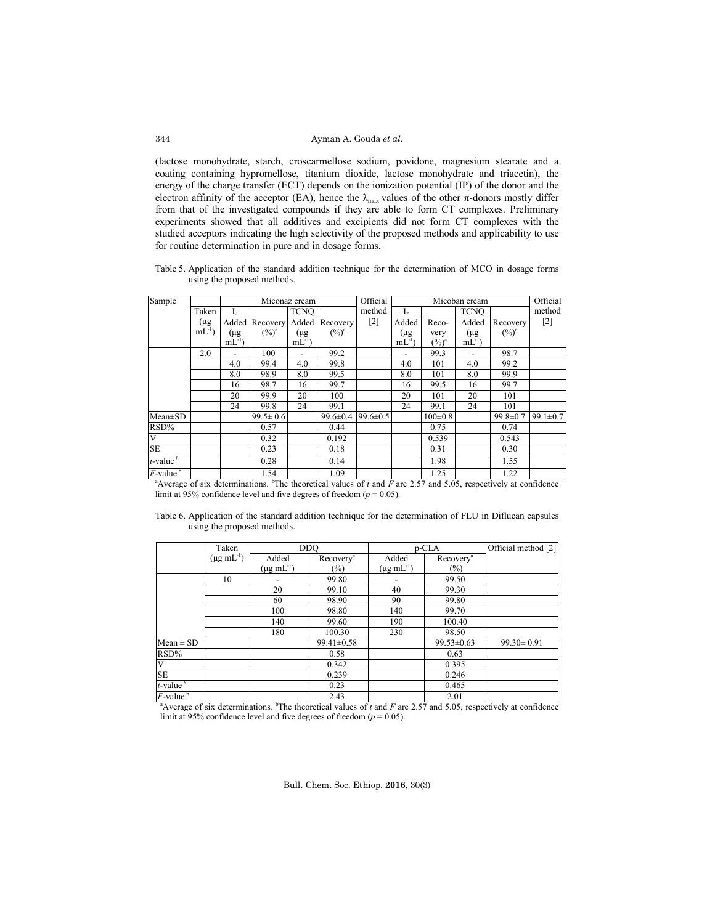(lactose monohydrate, starch, croscarmellose sodium, povidone, magnesium stearate and a coating containing hypromellose, titanium dioxide, lactose monohydrate and triacetin), the energy of the charge transfer (ECT) depends on the ionization potential (IP) of the donor and the electron affinity of the acceptor (EA), hence the  $\lambda_{\text{max}}$  values of the other  $\pi$ -donors mostly differ from that of the investigated compounds if they are able to form CT complexes. Preliminary experiments showed that all additives and excipients did not form CT complexes with the studied acceptors indicating the high selectivity of the proposed methods and applicability to use for routine determination in pure and in dosage forms.

Table 5. Application of the standard addition technique for the determination of MCO in dosage forms using the proposed methods.

| Sample                               |           | Miconaz cream  |                |             | Official<br>Micoban cream |                   |                          |               |             | Official       |                |
|--------------------------------------|-----------|----------------|----------------|-------------|---------------------------|-------------------|--------------------------|---------------|-------------|----------------|----------------|
|                                      | Taken     | I <sub>2</sub> |                | <b>TCNO</b> |                           | method            | I <sub>2</sub>           |               | <b>TCNO</b> |                | method         |
|                                      | (µg       | Added          | Recovery       | Added       | Recovery                  | $\lceil 2 \rceil$ | Added                    | Reco-         | Added       | Recovery       | $[2]$          |
|                                      | $mL^{-1}$ | (µg            | $(\%)^a$       | (μg         | $(\%)^a$                  |                   | (μg                      | very          | $(\mu g)$   | $(\%)^a$       |                |
|                                      |           | $mL^{-1}$      |                | $mL^{-1}$   |                           |                   | $mL^{-1}$                | $(\%)^a$      | $mL^{-1}$   |                |                |
|                                      | 2.0       |                | 100            |             | 99.2                      |                   | $\overline{\phantom{0}}$ | 99.3          |             | 98.7           |                |
|                                      |           | 4.0            | 99.4           | 4.0         | 99.8                      |                   | 4.0                      | 101           | 4.0         | 99.2           |                |
|                                      |           | 8.0            | 98.9           | 8.0         | 99.5                      |                   | 8.0                      | 101           | 8.0         | 99.9           |                |
|                                      |           | 16             | 98.7           | 16          | 99.7                      |                   | 16                       | 99.5          | 16          | 99.7           |                |
|                                      |           | 20             | 99.9           | 20          | 100                       |                   | 20                       | 101           | 20          | 101            |                |
|                                      |           | 24             | 99.8           | 24          | 99.1                      |                   | 24                       | 99.1          | 24          | 101            |                |
| $Mean \pm SD$                        |           |                | $99.5 \pm 0.6$ |             | $99.6 \pm 0.4$            | $99.6 \pm 0.5$    |                          | $100 \pm 0.8$ |             | $99.8 \pm 0.7$ | $99.1 \pm 0.7$ |
| RSD%                                 |           |                | 0.57           |             | 0.44                      |                   |                          | 0.75          |             | 0.74           |                |
| $\overline{\mathbf{V}}$              |           |                | 0.32           |             | 0.192                     |                   |                          | 0.539         |             | 0.543          |                |
| <b>SE</b>                            |           |                | 0.23           |             | 0.18                      |                   |                          | 0.31          |             | 0.30           |                |
| $t$ -value $\frac{b}{c}$             |           |                | 0.28           |             | 0.14                      |                   |                          | 1.98          |             | 1.55           |                |
| $\overline{F}$ -value $\overline{F}$ |           |                | 1.54           |             | 1.09                      |                   |                          | 1.25          |             | 1.22           |                |

<sup>a</sup> Average of six determinations. <sup>b</sup>The theoretical values of  $t$  and  $F$  are 2.57 and 5.05, respectively at confidence limit at 95% confidence level and five degrees of freedom  $(p = 0.05)$ .

| Table 6. Application of the standard addition technique for the determination of FLU in Diflucan capsules |  |  |  |
|-----------------------------------------------------------------------------------------------------------|--|--|--|
| using the proposed methods.                                                                               |  |  |  |

|                           | Taken                |                           | <b>DDO</b>            |                           | p-CLA                 |                                                                                                                                          |  |  |
|---------------------------|----------------------|---------------------------|-----------------------|---------------------------|-----------------------|------------------------------------------------------------------------------------------------------------------------------------------|--|--|
|                           | $(\mu g \, mL^{-1})$ | Added                     | Recovery <sup>a</sup> | Added                     | Recovery <sup>a</sup> |                                                                                                                                          |  |  |
|                           |                      | $(\mu g \text{ mL}^{-1})$ | $(\%)$                | $(\mu g \text{ mL}^{-1})$ | $(\%)$                |                                                                                                                                          |  |  |
|                           | 10                   |                           | 99.80                 |                           | 99.50                 |                                                                                                                                          |  |  |
|                           |                      | 20                        | 99.10                 | 40                        | 99.30                 |                                                                                                                                          |  |  |
|                           |                      | 60                        | 98.90                 | 90                        | 99.80                 |                                                                                                                                          |  |  |
|                           |                      | 100                       | 98.80                 | 140                       | 99.70                 |                                                                                                                                          |  |  |
|                           |                      | 140                       | 99.60                 | 190                       | 100.40                |                                                                                                                                          |  |  |
|                           |                      | 180                       | 100.30                | 230                       | 98.50                 |                                                                                                                                          |  |  |
| $Mean \pm SD$             |                      |                           | $99.41 \pm 0.58$      |                           | $99.53 \pm 0.63$      | $99.30 \pm 0.91$                                                                                                                         |  |  |
| RSD%                      |                      |                           | 0.58                  |                           | 0.63                  |                                                                                                                                          |  |  |
| $\overline{\mathbf{V}}$   |                      |                           | 0.342                 |                           | 0.395                 |                                                                                                                                          |  |  |
| $\overline{\text{SE}}$    |                      |                           | 0.239                 |                           | 0.246                 |                                                                                                                                          |  |  |
| $t$ -value $^b$           |                      |                           | 0.23                  |                           | 0.465                 |                                                                                                                                          |  |  |
| $F$ -value $\overline{b}$ |                      |                           | 2.43                  |                           | 2.01                  |                                                                                                                                          |  |  |
|                           |                      |                           |                       |                           |                       | <sup>a</sup> Average of six determinations. <sup>b</sup> The theoretical values of t and F are 2.57 and 5.05, respectively at confidence |  |  |

limit at 95% confidence level and five degrees of freedom ( $p = 0.05$ ).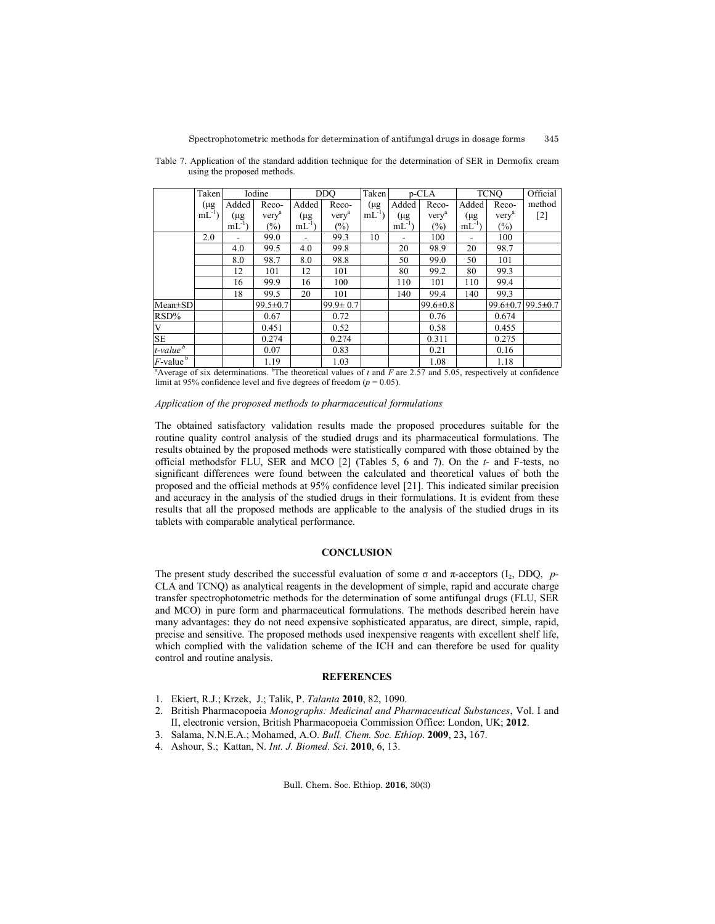|                                                                                                          | Taken     |           | Iodine            |             | <b>DDO</b>        | Taken     |           | p-CLA             |           | <b>TCNO</b>       | Official          |
|----------------------------------------------------------------------------------------------------------|-----------|-----------|-------------------|-------------|-------------------|-----------|-----------|-------------------|-----------|-------------------|-------------------|
|                                                                                                          | (µg       | Added     | Reco-             | Added       | Reco-             | $(\mu g)$ | Added     | Reco-             | Added     | Reco-             | method            |
|                                                                                                          | $mL^{-1}$ | (µg       | very <sup>a</sup> | (μg         | very <sup>a</sup> | $mL^{-1}$ | $(\mu g$  | very <sup>a</sup> | (μg       | very <sup>a</sup> | $[2]$             |
|                                                                                                          |           | $mL^{-1}$ | $(\%)$            | $mL^{-1}$ ) | $(\%)$            |           | $mL^{-1}$ | $(\%)$            | $mL^{-1}$ | $(\% )$           |                   |
|                                                                                                          | 2.0       |           | 99.0              |             | 99.3              | 10        |           | 100               |           | 100               |                   |
|                                                                                                          |           | 4.0       | 99.5              | 4.0         | 99.8              |           | 20        | 98.9              | 20        | 98.7              |                   |
|                                                                                                          |           | 8.0       | 98.7              | 8.0         | 98.8              |           | 50        | 99.0              | 50        | 101               |                   |
|                                                                                                          |           | 12        | 101               | 12          | 101               |           | 80        | 99.2              | 80        | 99.3              |                   |
|                                                                                                          |           | 16        | 99.9              | 16          | 100               |           | 110       | 101               | 110       | 99.4              |                   |
|                                                                                                          |           | 18        | 99.5              | 20          | 101               |           | 140       | 99.4              | 140       | 99.3              |                   |
| Mean±SD                                                                                                  |           |           | $99.5 \pm 0.7$    |             | $99.9 \pm 0.7$    |           |           | $99.6 \pm 0.8$    |           |                   | 99.6±0.7 99.5±0.7 |
| $RSD\%$                                                                                                  |           |           | 0.67              |             | 0.72              |           |           | 0.76              |           | 0.674             |                   |
| $\overline{\mathbf{V}}$                                                                                  |           |           | 0.451             |             | 0.52              |           |           | 0.58              |           | 0.455             |                   |
| <b>SE</b>                                                                                                |           |           | 0.274             |             | 0.274             |           |           | 0.311             |           | 0.275             |                   |
| $t$ -value $\frac{b}{c}$                                                                                 |           |           | 0.07              |             | 0.83              |           |           | 0.21              |           | 0.16              |                   |
| $F$ -value <sup>b</sup><br>$\mathbf{a}$ control to hear and the control of $\mathbf{a}$ and $\mathbf{a}$ |           |           | 1.19              |             | 1.03              |           |           | 1.08              |           | 1.18              |                   |

Table 7. Application of the standard addition technique for the determination of SER in Dermofix cream using the proposed methods.

<sup>a</sup> Average of six determinations. <sup>b</sup>The theoretical values of  $t$  and  $F$  are 2.57 and 5.05, respectively at confidence limit at 95% confidence level and five degrees of freedom  $(p = 0.05)$ .

# *Application of the proposed methods to pharmaceutical formulations*

The obtained satisfactory validation results made the proposed procedures suitable for the routine quality control analysis of the studied drugs and its pharmaceutical formulations. The results obtained by the proposed methods were statistically compared with those obtained by the official methodsfor FLU, SER and MCO [2] (Tables 5, 6 and 7). On the *t*- and F-tests, no significant differences were found between the calculated and theoretical values of both the proposed and the official methods at 95% confidence level [21]. This indicated similar precision and accuracy in the analysis of the studied drugs in their formulations. It is evident from these results that all the proposed methods are applicable to the analysis of the studied drugs in its tablets with comparable analytical performance.

# **CONCLUSION**

The present study described the successful evaluation of some  $\sigma$  and  $\pi$ -acceptors (I<sub>2</sub>, DDQ, *p*-CLA and TCNQ) as analytical reagents in the development of simple, rapid and accurate charge transfer spectrophotometric methods for the determination of some antifungal drugs (FLU, SER and MCO) in pure form and pharmaceutical formulations. The methods described herein have many advantages: they do not need expensive sophisticated apparatus, are direct, simple, rapid, precise and sensitive. The proposed methods used inexpensive reagents with excellent shelf life, which complied with the validation scheme of the ICH and can therefore be used for quality control and routine analysis.

### **REFERENCES**

- 1. Ekiert, R.J.; Krzek, J.; Talik, P. *Talanta* **2010**, 82, 1090.
- 2. British Pharmacopoeia *Monographs: Medicinal and Pharmaceutical Substances*, Vol. I and II, electronic version, British Pharmacopoeia Commission Office: London, UK; **2012**.
- 3. Salama, N.N.E.A.; Mohamed, A.O. *Bull. Chem. Soc. Ethiop*. **2009**, 23**,** 167.
- 4. Ashour, S.; Kattan, N. *Int. J. Biomed. Sci*. **2010**, 6, 13.